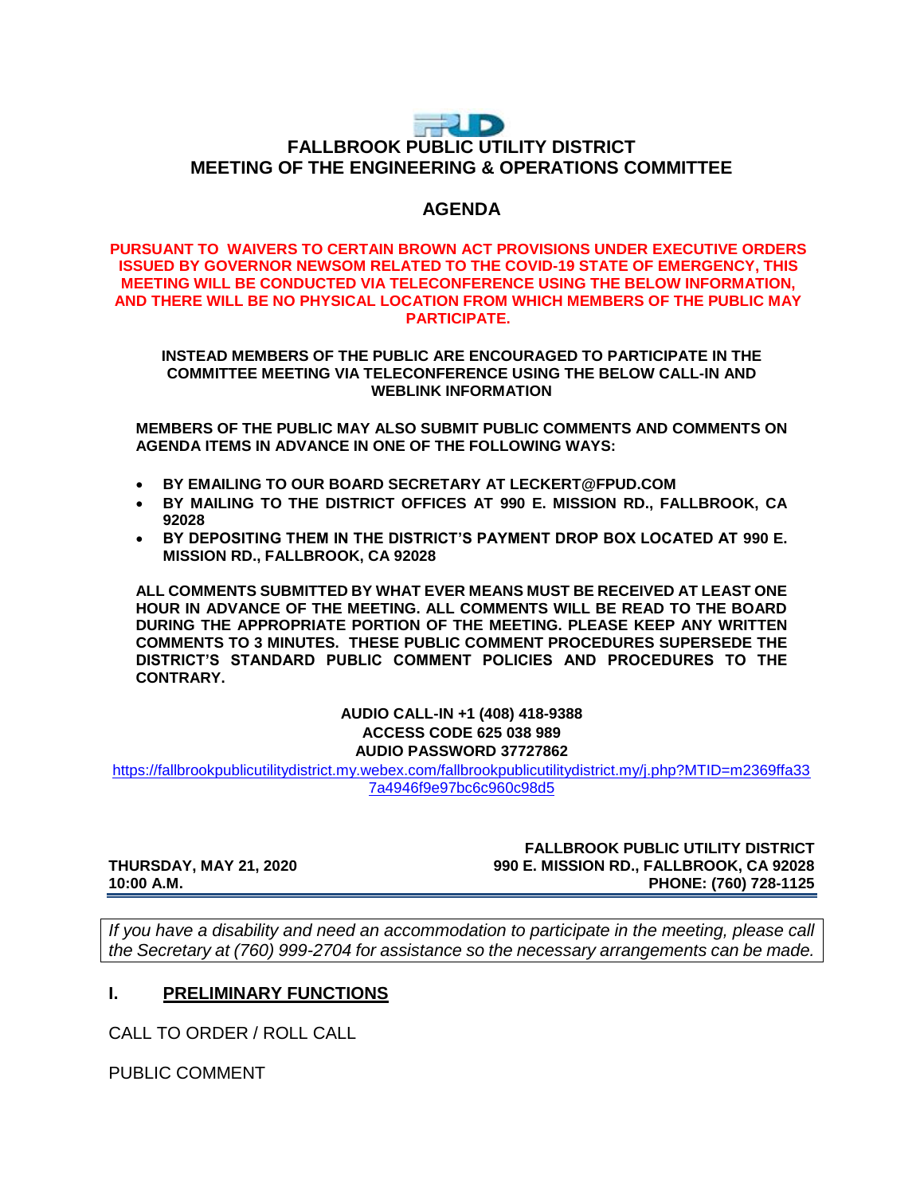# **THUD FALLBROOK PUBLIC UTILITY DISTRICT MEETING OF THE ENGINEERING & OPERATIONS COMMITTEE**

## **AGENDA**

#### **PURSUANT TO WAIVERS TO CERTAIN BROWN ACT PROVISIONS UNDER EXECUTIVE ORDERS ISSUED BY GOVERNOR NEWSOM RELATED TO THE COVID-19 STATE OF EMERGENCY, THIS MEETING WILL BE CONDUCTED VIA TELECONFERENCE USING THE BELOW INFORMATION, AND THERE WILL BE NO PHYSICAL LOCATION FROM WHICH MEMBERS OF THE PUBLIC MAY PARTICIPATE.**

**INSTEAD MEMBERS OF THE PUBLIC ARE ENCOURAGED TO PARTICIPATE IN THE COMMITTEE MEETING VIA TELECONFERENCE USING THE BELOW CALL-IN AND WEBLINK INFORMATION**

**MEMBERS OF THE PUBLIC MAY ALSO SUBMIT PUBLIC COMMENTS AND COMMENTS ON AGENDA ITEMS IN ADVANCE IN ONE OF THE FOLLOWING WAYS:**

- **BY EMAILING TO OUR BOARD SECRETARY AT LECKERT@FPUD.COM**
- **BY MAILING TO THE DISTRICT OFFICES AT 990 E. MISSION RD., FALLBROOK, CA 92028**
- **BY DEPOSITING THEM IN THE DISTRICT'S PAYMENT DROP BOX LOCATED AT 990 E. MISSION RD., FALLBROOK, CA 92028**

**ALL COMMENTS SUBMITTED BY WHAT EVER MEANS MUST BE RECEIVED AT LEAST ONE HOUR IN ADVANCE OF THE MEETING. ALL COMMENTS WILL BE READ TO THE BOARD DURING THE APPROPRIATE PORTION OF THE MEETING. PLEASE KEEP ANY WRITTEN COMMENTS TO 3 MINUTES. THESE PUBLIC COMMENT PROCEDURES SUPERSEDE THE DISTRICT'S STANDARD PUBLIC COMMENT POLICIES AND PROCEDURES TO THE CONTRARY.**

#### **AUDIO CALL-IN +1 (408) 418-9388 ACCESS CODE 625 038 989 AUDIO PASSWORD 37727862**

[https://fallbrookpublicutilitydistrict.my.webex.com/fallbrookpublicutilitydistrict.my/j.php?MTID=m2369ffa33](https://fallbrookpublicutilitydistrict.my.webex.com/fallbrookpublicutilitydistrict.my/j.php?MTID=m2369ffa337a4946f9e97bc6c960c98d5) [7a4946f9e97bc6c960c98d5](https://fallbrookpublicutilitydistrict.my.webex.com/fallbrookpublicutilitydistrict.my/j.php?MTID=m2369ffa337a4946f9e97bc6c960c98d5)

**FALLBROOK PUBLIC UTILITY DISTRICT THURSDAY, MAY 21, 2020 990 E. MISSION RD., FALLBROOK, CA 92028 10:00 A.M. PHONE: (760) 728-1125**

*If you have a disability and need an accommodation to participate in the meeting, please call the Secretary at (760) 999-2704 for assistance so the necessary arrangements can be made.* 

### **I. PRELIMINARY FUNCTIONS**

CALL TO ORDER / ROLL CALL

PUBLIC COMMENT